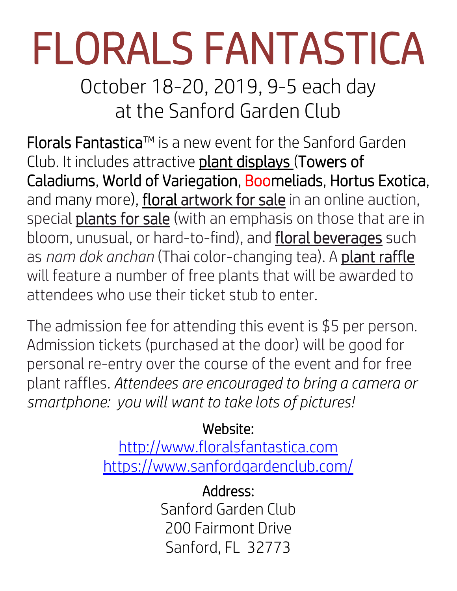## FLORALS FANTASTICA

October 18-20, 2019, 9-5 each day at the Sanford Garden Club

Florals Fantastica™ is a new event for the Sanford Garden Club. It includes attractive plant displays (Towers of Caladiums, World of Variegation, Boomeliads, Hortus Exotica, and many more), **floral artwork for sale** in an online auction, special **plants for sale** (with an emphasis on those that are in bloom, unusual, or hard-to-find), and floral beverages such as *nam dok anchan* (Thai color-changing tea). A plant raffle will feature a number of free plants that will be awarded to attendees who use their ticket stub to enter.

The admission fee for attending this event is \$5 per person. Admission tickets (purchased at the door) will be good for personal re-entry over the course of the event and for free plant raffles. *Attendees are encouraged to bring a camera or smartphone: you will want to take lots of pictures!*

## Website:

[http://www.floralsfantastica.com](http://www.floralsfantastica.com/) <https://www.sanfordgardenclub.com/>

> Address: Sanford Garden Club 200 Fairmont Drive Sanford, FL 32773